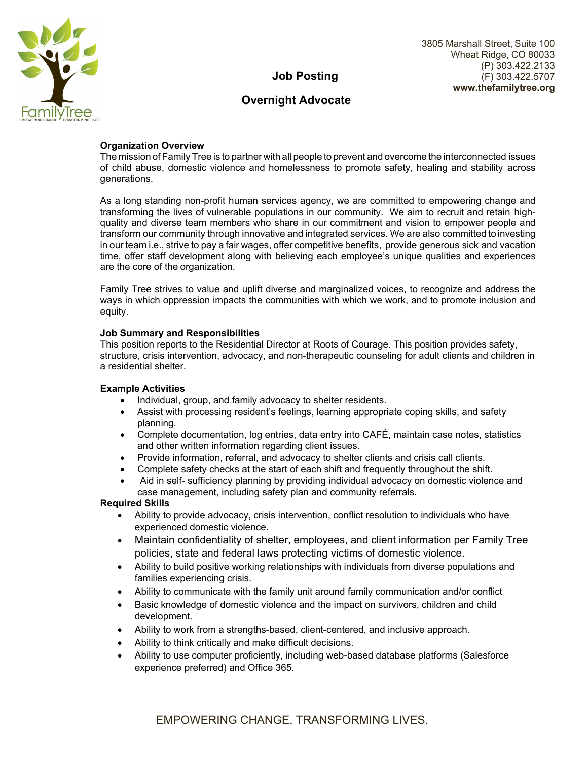

#### 3805 Marshall Street, Suite 100 Wheat Ridge, CO 80033 (P) 303.422.2133 (F) 303.422.5707 **www.thefamilytree.org**

# **Job Posting**

# **Overnight Advocate**

## **Organization Overview**

The mission of Family Tree is to partner with all people to prevent and overcome the interconnected issues of child abuse, domestic violence and homelessness to promote safety, healing and stability across generations.

As a long standing non-profit human services agency, we are committed to empowering change and transforming the lives of vulnerable populations in our community. We aim to recruit and retain highquality and diverse team members who share in our commitment and vision to empower people and transform our community through innovative and integrated services. We are also committed to investing in our team i.e., strive to pay a fair wages, offer competitive benefits, provide generous sick and vacation time, offer staff development along with believing each employee's unique qualities and experiences are the core of the organization.

Family Tree strives to value and uplift diverse and marginalized voices, to recognize and address the ways in which oppression impacts the communities with which we work, and to promote inclusion and equity.

## **Job Summary and Responsibilities**

This position reports to the Residential Director at Roots of Courage. This position provides safety, structure, crisis intervention, advocacy, and non-therapeutic counseling for adult clients and children in a residential shelter.

### **Example Activities**

- Individual, group, and family advocacy to shelter residents.
- Assist with processing resident's feelings, learning appropriate coping skills, and safety planning.
- Complete documentation, log entries, data entry into CAFÉ, maintain case notes, statistics and other written information regarding client issues.
- Provide information, referral, and advocacy to shelter clients and crisis call clients.
- Complete safety checks at the start of each shift and frequently throughout the shift.
- Aid in self- sufficiency planning by providing individual advocacy on domestic violence and case management, including safety plan and community referrals.

### **Required Skills**

- Ability to provide advocacy, crisis intervention, conflict resolution to individuals who have experienced domestic violence.
- Maintain confidentiality of shelter, employees, and client information per Family Tree policies, state and federal laws protecting victims of domestic violence.
- Ability to build positive working relationships with individuals from diverse populations and families experiencing crisis.
- Ability to communicate with the family unit around family communication and/or conflict
- Basic knowledge of domestic violence and the impact on survivors, children and child development.
- Ability to work from a strengths-based, client-centered, and inclusive approach.
- Ability to think critically and make difficult decisions.
- Ability to use computer proficiently, including web-based database platforms (Salesforce experience preferred) and Office 365.